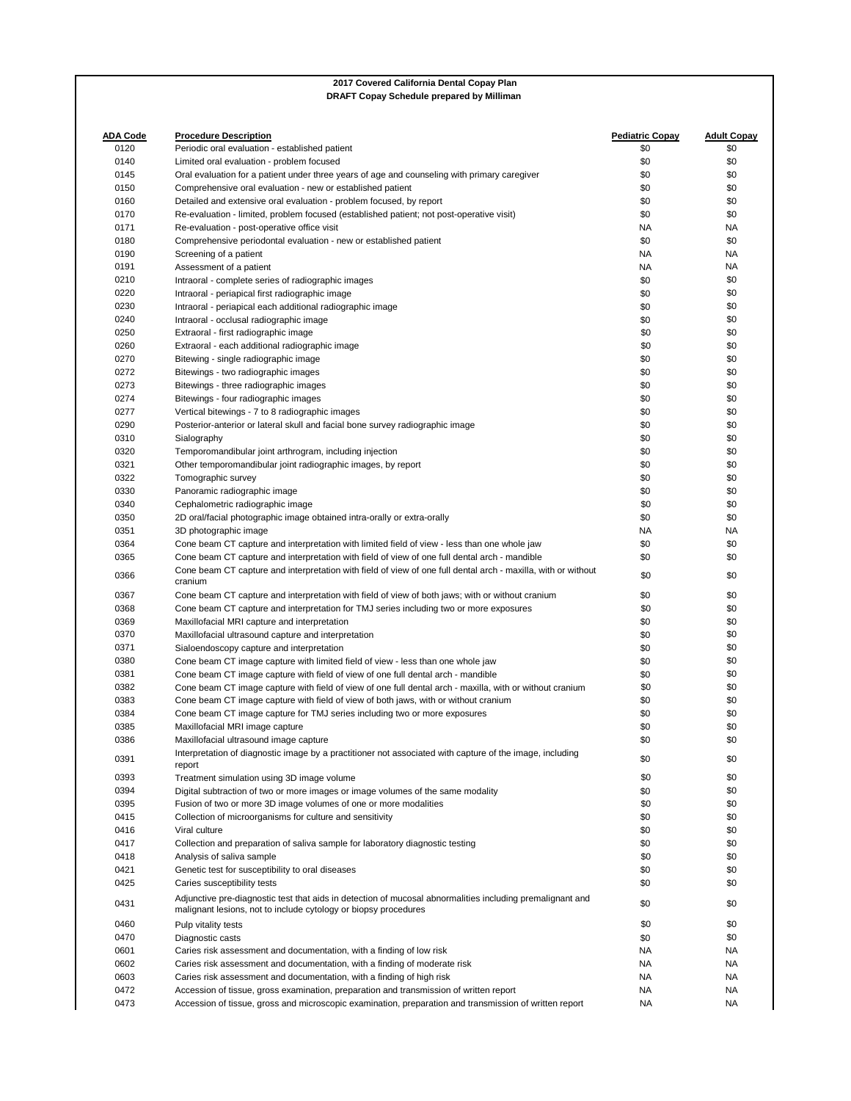| <b>ADA Code</b><br>0120 | <b>Procedure Description</b><br>Periodic oral evaluation - established patient                                                                                               | <b>Pediatric Copay</b><br>\$0 | <b>Adult Copay</b><br>\$0 |
|-------------------------|------------------------------------------------------------------------------------------------------------------------------------------------------------------------------|-------------------------------|---------------------------|
| 0140                    | Limited oral evaluation - problem focused                                                                                                                                    | \$0                           | \$0                       |
| 0145                    | Oral evaluation for a patient under three years of age and counseling with primary caregiver                                                                                 | \$0                           | \$0                       |
| 0150                    | Comprehensive oral evaluation - new or established patient                                                                                                                   | \$0                           | \$0                       |
| 0160                    | Detailed and extensive oral evaluation - problem focused, by report                                                                                                          | \$0                           | \$0                       |
| 0170                    | Re-evaluation - limited, problem focused (established patient; not post-operative visit)                                                                                     | \$0                           | \$0                       |
| 0171                    | Re-evaluation - post-operative office visit                                                                                                                                  | NA                            | ΝA                        |
| 0180                    | Comprehensive periodontal evaluation - new or established patient                                                                                                            | \$0                           | \$0                       |
| 0190                    | Screening of a patient                                                                                                                                                       | NA                            | NA                        |
| 0191                    | Assessment of a patient                                                                                                                                                      | NA                            | ΝA                        |
| 0210                    | Intraoral - complete series of radiographic images                                                                                                                           | \$0                           | \$0                       |
| 0220                    | Intraoral - periapical first radiographic image                                                                                                                              | \$0                           | \$0                       |
| 0230                    | Intraoral - periapical each additional radiographic image                                                                                                                    | \$0                           | \$0                       |
| 0240                    | Intraoral - occlusal radiographic image                                                                                                                                      | \$0                           | \$0                       |
| 0250                    | Extraoral - first radiographic image                                                                                                                                         | \$0                           | \$0                       |
| 0260                    | Extraoral - each additional radiographic image                                                                                                                               | \$0                           | \$0                       |
| 0270                    | Bitewing - single radiographic image                                                                                                                                         | \$0                           | \$0                       |
| 0272                    | Bitewings - two radiographic images                                                                                                                                          | \$0                           | \$0                       |
| 0273                    | Bitewings - three radiographic images                                                                                                                                        | \$0                           | \$0                       |
| 0274                    | Bitewings - four radiographic images                                                                                                                                         | \$0                           | \$0                       |
| 0277                    | Vertical bitewings - 7 to 8 radiographic images                                                                                                                              | \$0                           | \$0                       |
| 0290                    | Posterior-anterior or lateral skull and facial bone survey radiographic image                                                                                                | \$0                           | \$0                       |
| 0310                    | Sialography                                                                                                                                                                  | \$0                           | \$0                       |
| 0320                    | Temporomandibular joint arthrogram, including injection                                                                                                                      | \$0                           | \$0                       |
| 0321                    | Other temporomandibular joint radiographic images, by report                                                                                                                 | \$0                           | \$0                       |
| 0322                    | Tomographic survey                                                                                                                                                           | \$0                           | \$0                       |
| 0330                    | Panoramic radiographic image                                                                                                                                                 | \$0                           | \$0                       |
| 0340                    | Cephalometric radiographic image                                                                                                                                             | \$0                           | \$0                       |
| 0350                    | 2D oral/facial photographic image obtained intra-orally or extra-orally                                                                                                      | \$0                           | \$0                       |
| 0351                    | 3D photographic image                                                                                                                                                        | NA                            | ΝA                        |
| 0364                    | Cone beam CT capture and interpretation with limited field of view - less than one whole jaw                                                                                 | \$0                           | \$0                       |
| 0365                    | Cone beam CT capture and interpretation with field of view of one full dental arch - mandible                                                                                | \$0                           | \$0                       |
| 0366                    | Cone beam CT capture and interpretation with field of view of one full dental arch - maxilla, with or without<br>cranium                                                     | \$0                           | \$0                       |
| 0367                    | Cone beam CT capture and interpretation with field of view of both jaws; with or without cranium                                                                             | \$0                           | \$0                       |
| 0368                    | Cone beam CT capture and interpretation for TMJ series including two or more exposures                                                                                       | \$0                           | \$0                       |
| 0369                    | Maxillofacial MRI capture and interpretation                                                                                                                                 | \$0                           | \$0                       |
| 0370                    | Maxillofacial ultrasound capture and interpretation                                                                                                                          | \$0                           | \$0                       |
| 0371                    | Sialoendoscopy capture and interpretation                                                                                                                                    | \$0                           | \$0                       |
| 0380                    | Cone beam CT image capture with limited field of view - less than one whole jaw                                                                                              | \$0                           | \$0                       |
| 0381                    | Cone beam CT image capture with field of view of one full dental arch - mandible                                                                                             | \$0                           | \$0                       |
| 0382                    | Cone beam CT image capture with field of view of one full dental arch - maxilla, with or without cranium                                                                     | \$0                           | \$0                       |
| 0383                    | Cone beam CT image capture with field of view of both jaws, with or without cranium                                                                                          | \$0                           | \$0                       |
| 0384                    | Cone beam CT image capture for TMJ series including two or more exposures                                                                                                    | \$0                           | \$0                       |
| 0385                    | Maxillofacial MRI image capture                                                                                                                                              | \$0                           | \$0                       |
| 0386                    | Maxillofacial ultrasound image capture                                                                                                                                       | \$0                           | \$0                       |
| 0391                    | Interpretation of diagnostic image by a practitioner not associated with capture of the image, including<br>report                                                           | \$0                           | \$0                       |
| 0393                    | Treatment simulation using 3D image volume                                                                                                                                   | \$0                           | \$0                       |
| 0394                    | Digital subtraction of two or more images or image volumes of the same modality                                                                                              | \$0                           | \$0<br>\$0                |
| 0395                    | Fusion of two or more 3D image volumes of one or more modalities                                                                                                             | \$0                           |                           |
| 0415                    | Collection of microorganisms for culture and sensitivity                                                                                                                     | \$0                           | \$0                       |
| 0416<br>0417            | Viral culture                                                                                                                                                                | \$0<br>\$0                    | \$0<br>\$0                |
| 0418                    | Collection and preparation of saliva sample for laboratory diagnostic testing                                                                                                | \$0                           | \$0                       |
| 0421                    | Analysis of saliva sample<br>Genetic test for susceptibility to oral diseases                                                                                                | \$0                           | \$0                       |
| 0425                    | Caries susceptibility tests                                                                                                                                                  | \$0                           | \$0                       |
| 0431                    | Adjunctive pre-diagnostic test that aids in detection of mucosal abnormalities including premalignant and<br>malignant lesions, not to include cytology or biopsy procedures | \$0                           | \$0                       |
|                         |                                                                                                                                                                              |                               |                           |
| 0460                    | Pulp vitality tests                                                                                                                                                          | \$0                           | \$0<br>\$0                |
| 0470<br>0601            | Diagnostic casts                                                                                                                                                             | \$0<br>NA                     | ΝA                        |
| 0602                    | Caries risk assessment and documentation, with a finding of low risk<br>Caries risk assessment and documentation, with a finding of moderate risk                            | NA                            | NA                        |
| 0603                    | Caries risk assessment and documentation, with a finding of high risk                                                                                                        | NA                            | ΝA                        |
| 0472                    | Accession of tissue, gross examination, preparation and transmission of written report                                                                                       | NA                            | ΝA                        |
| 0473                    | Accession of tissue, gross and microscopic examination, preparation and transmission of written report                                                                       | NA                            | NA                        |
|                         |                                                                                                                                                                              |                               |                           |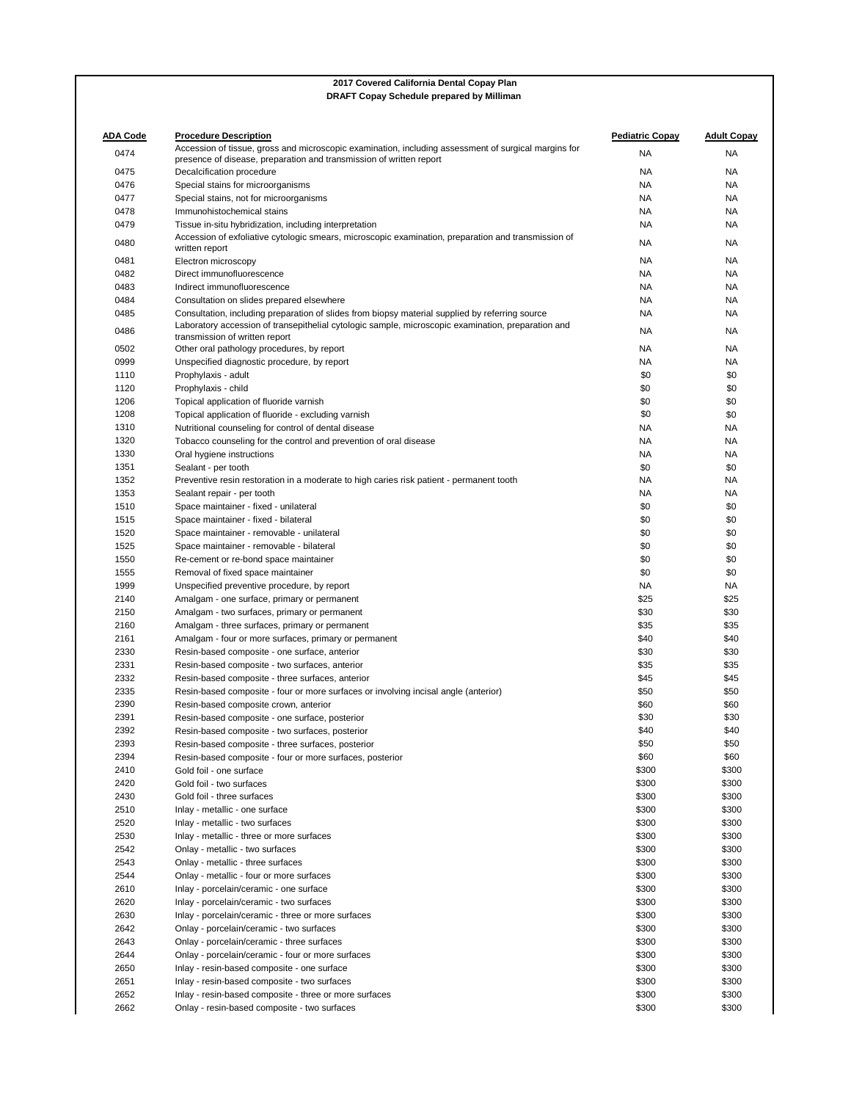| <b>ADA Code</b> | <b>Procedure Description</b><br>Accession of tissue, gross and microscopic examination, including assessment of surgical margins for | <b>Pediatric Copay</b> | <b>Adult Copay</b> |
|-----------------|--------------------------------------------------------------------------------------------------------------------------------------|------------------------|--------------------|
| 0474            | presence of disease, preparation and transmission of written report                                                                  | <b>NA</b>              | NA                 |
| 0475            | Decalcification procedure                                                                                                            | <b>NA</b>              | NA                 |
| 0476            | Special stains for microorganisms                                                                                                    | <b>NA</b>              | NA                 |
| 0477            | Special stains, not for microorganisms                                                                                               | <b>NA</b>              | NA                 |
| 0478            | Immunohistochemical stains                                                                                                           | <b>NA</b>              | ΝA                 |
| 0479            | Tissue in-situ hybridization, including interpretation                                                                               | <b>NA</b>              | ΝA                 |
| 0480            | Accession of exfoliative cytologic smears, microscopic examination, preparation and transmission of                                  | <b>NA</b>              | ΝA                 |
|                 | written report                                                                                                                       |                        |                    |
| 0481            | Electron microscopy                                                                                                                  | NA                     | ΝA                 |
| 0482            | Direct immunofluorescence                                                                                                            | <b>NA</b>              | NA                 |
| 0483            | Indirect immunofluorescence                                                                                                          | <b>NA</b>              | ΝA                 |
| 0484            | Consultation on slides prepared elsewhere                                                                                            | <b>NA</b>              | NA                 |
| 0485            | Consultation, including preparation of slides from biopsy material supplied by referring source                                      | <b>NA</b>              | ΝA                 |
| 0486            | Laboratory accession of transepithelial cytologic sample, microscopic examination, preparation and<br>transmission of written report | <b>NA</b>              | ΝA                 |
| 0502            | Other oral pathology procedures, by report                                                                                           | NA.                    | ΝA                 |
| 0999            | Unspecified diagnostic procedure, by report                                                                                          | <b>NA</b>              | ΝA                 |
| 1110            | Prophylaxis - adult                                                                                                                  | \$0                    | \$0                |
| 1120            | Prophylaxis - child                                                                                                                  | \$0                    | \$0                |
| 1206            | Topical application of fluoride varnish                                                                                              | \$0                    | \$0                |
| 1208            | Topical application of fluoride - excluding varnish                                                                                  | \$0                    | \$0                |
| 1310            | Nutritional counseling for control of dental disease                                                                                 | <b>NA</b>              | ΝA                 |
| 1320            | Tobacco counseling for the control and prevention of oral disease                                                                    | <b>NA</b>              | ΝA                 |
| 1330            | Oral hygiene instructions                                                                                                            | <b>NA</b>              | ΝA                 |
| 1351            | Sealant - per tooth                                                                                                                  | \$0                    | \$0                |
| 1352            | Preventive resin restoration in a moderate to high caries risk patient - permanent tooth                                             | <b>NA</b>              | NA                 |
| 1353            | Sealant repair - per tooth                                                                                                           | <b>NA</b>              | ΝA                 |
| 1510            | Space maintainer - fixed - unilateral                                                                                                | \$0                    | \$0                |
| 1515            | Space maintainer - fixed - bilateral                                                                                                 | \$0                    | \$0                |
| 1520            | Space maintainer - removable - unilateral                                                                                            | \$0                    | \$0                |
| 1525            | Space maintainer - removable - bilateral                                                                                             | \$0                    | \$0                |
| 1550            | Re-cement or re-bond space maintainer                                                                                                | \$0                    | \$0                |
| 1555            | Removal of fixed space maintainer                                                                                                    | \$0                    | \$0                |
| 1999            | Unspecified preventive procedure, by report                                                                                          | <b>NA</b>              | NA                 |
| 2140            | Amalgam - one surface, primary or permanent                                                                                          | \$25                   | \$25               |
| 2150            | Amalgam - two surfaces, primary or permanent                                                                                         | \$30                   | \$30               |
| 2160            | Amalgam - three surfaces, primary or permanent                                                                                       | \$35                   | \$35               |
| 2161            | Amalgam - four or more surfaces, primary or permanent                                                                                | \$40                   | \$40               |
| 2330            | Resin-based composite - one surface, anterior                                                                                        | \$30                   | \$30               |
| 2331            | Resin-based composite - two surfaces, anterior                                                                                       | \$35                   | \$35               |
| 2332            | Resin-based composite - three surfaces, anterior                                                                                     | \$45                   | \$45               |
| 2335            | Resin-based composite - four or more surfaces or involving incisal angle (anterior)                                                  | \$50                   | \$50               |
| 2390            | Resin-based composite crown, anterior                                                                                                | \$60                   | \$60               |
| 2391            | Resin-based composite - one surface, posterior                                                                                       | \$30                   | \$30               |
| 2392            | Resin-based composite - two surfaces, posterior                                                                                      | \$40                   | \$40               |
| 2393            | Resin-based composite - three surfaces, posterior                                                                                    | \$50                   | \$50               |
| 2394            | Resin-based composite - four or more surfaces, posterior<br>Gold foil - one surface                                                  | \$60                   | \$60               |
| 2410<br>2420    | Gold foil - two surfaces                                                                                                             | \$300<br>\$300         | \$300<br>\$300     |
| 2430            | Gold foil - three surfaces                                                                                                           | \$300                  | \$300              |
| 2510            | Inlay - metallic - one surface                                                                                                       | \$300                  | \$300              |
| 2520            | Inlay - metallic - two surfaces                                                                                                      | \$300                  | \$300              |
| 2530            | Inlay - metallic - three or more surfaces                                                                                            | \$300                  | \$300              |
| 2542            | Onlay - metallic - two surfaces                                                                                                      | \$300                  | \$300              |
| 2543            | Onlay - metallic - three surfaces                                                                                                    | \$300                  | \$300              |
| 2544            | Onlay - metallic - four or more surfaces                                                                                             | \$300                  | \$300              |
| 2610            | Inlay - porcelain/ceramic - one surface                                                                                              | \$300                  | \$300              |
| 2620            | Inlay - porcelain/ceramic - two surfaces                                                                                             | \$300                  | \$300              |
| 2630            | Inlay - porcelain/ceramic - three or more surfaces                                                                                   | \$300                  | \$300              |
| 2642            | Onlay - porcelain/ceramic - two surfaces                                                                                             | \$300                  | \$300              |
| 2643            | Onlay - porcelain/ceramic - three surfaces                                                                                           | \$300                  | \$300              |
| 2644            | Onlay - porcelain/ceramic - four or more surfaces                                                                                    | \$300                  | \$300              |
| 2650            | Inlay - resin-based composite - one surface                                                                                          | \$300                  | \$300              |
| 2651            | Inlay - resin-based composite - two surfaces                                                                                         | \$300                  | \$300              |
| 2652            | Inlay - resin-based composite - three or more surfaces                                                                               | \$300                  | \$300              |
| 2662            | Onlay - resin-based composite - two surfaces                                                                                         | \$300                  | \$300              |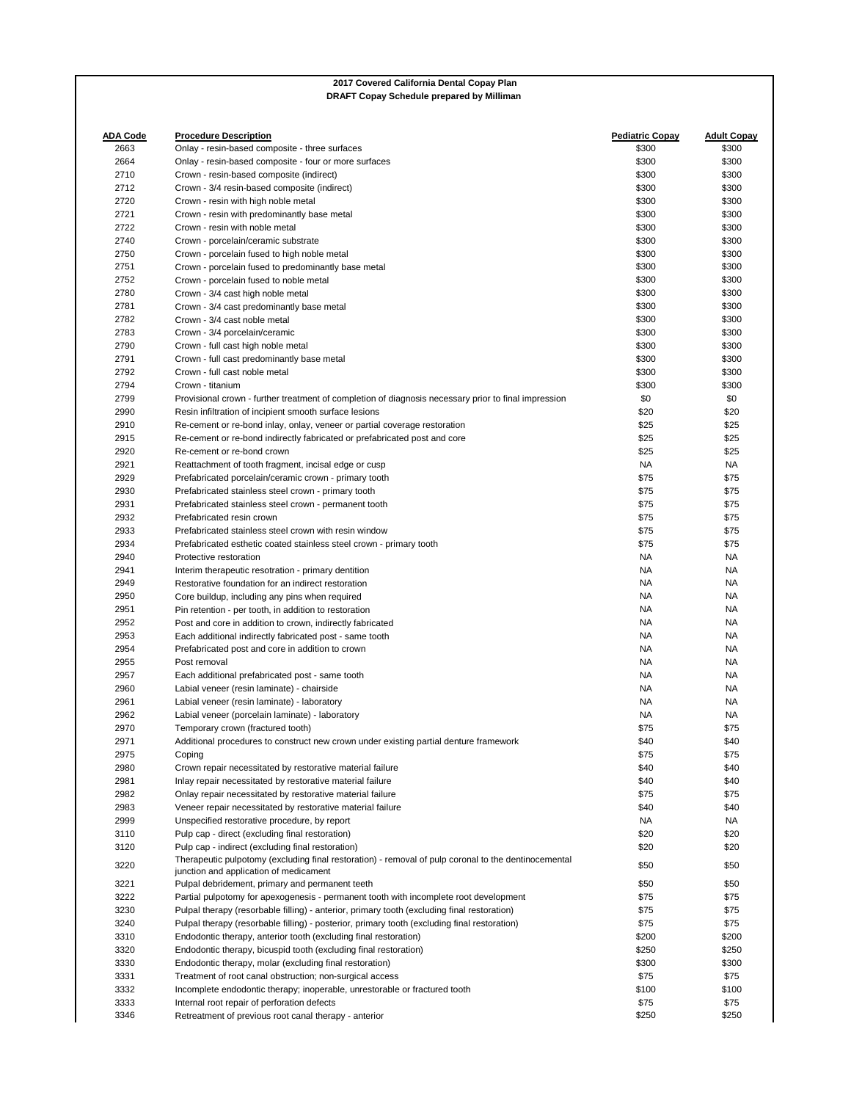| <b>ADA Code</b><br>2663 | <b>Procedure Description</b><br>Onlay - resin-based composite - three surfaces                       | <b>Pediatric Copay</b><br>\$300 | <b>Adult Copay</b><br>\$300 |
|-------------------------|------------------------------------------------------------------------------------------------------|---------------------------------|-----------------------------|
| 2664                    | Onlay - resin-based composite - four or more surfaces                                                | \$300                           | \$300                       |
| 2710                    | Crown - resin-based composite (indirect)                                                             | \$300                           | \$300                       |
| 2712                    |                                                                                                      | \$300                           | \$300                       |
| 2720                    | Crown - 3/4 resin-based composite (indirect)<br>Crown - resin with high noble metal                  | \$300                           | \$300                       |
| 2721                    |                                                                                                      | \$300                           | \$300                       |
| 2722                    | Crown - resin with predominantly base metal                                                          | \$300                           | \$300                       |
|                         | Crown - resin with noble metal                                                                       |                                 |                             |
| 2740                    | Crown - porcelain/ceramic substrate                                                                  | \$300                           | \$300                       |
| 2750                    | Crown - porcelain fused to high noble metal                                                          | \$300                           | \$300                       |
| 2751                    | Crown - porcelain fused to predominantly base metal                                                  | \$300                           | \$300                       |
| 2752                    | Crown - porcelain fused to noble metal                                                               | \$300                           | \$300                       |
| 2780                    | Crown - 3/4 cast high noble metal                                                                    | \$300                           | \$300                       |
| 2781                    | Crown - 3/4 cast predominantly base metal                                                            | \$300                           | \$300                       |
| 2782                    | Crown - 3/4 cast noble metal                                                                         | \$300                           | \$300                       |
| 2783                    | Crown - 3/4 porcelain/ceramic                                                                        | \$300                           | \$300                       |
| 2790                    | Crown - full cast high noble metal                                                                   | \$300                           | \$300                       |
| 2791                    | Crown - full cast predominantly base metal                                                           | \$300                           | \$300                       |
| 2792                    | Crown - full cast noble metal                                                                        | \$300                           | \$300                       |
| 2794                    | Crown - titanium                                                                                     | \$300                           | \$300                       |
| 2799                    | Provisional crown - further treatment of completion of diagnosis necessary prior to final impression | \$0                             | \$0                         |
| 2990                    | Resin infiltration of incipient smooth surface lesions                                               | \$20                            | \$20                        |
| 2910                    | Re-cement or re-bond inlay, onlay, veneer or partial coverage restoration                            | \$25                            | \$25                        |
| 2915                    | Re-cement or re-bond indirectly fabricated or prefabricated post and core                            | \$25                            | \$25                        |
| 2920                    | Re-cement or re-bond crown                                                                           | \$25                            | \$25                        |
| 2921                    | Reattachment of tooth fragment, incisal edge or cusp                                                 | NA.                             | NA                          |
| 2929                    | Prefabricated porcelain/ceramic crown - primary tooth                                                | \$75                            | \$75                        |
| 2930                    | Prefabricated stainless steel crown - primary tooth                                                  | \$75                            | \$75                        |
| 2931                    | Prefabricated stainless steel crown - permanent tooth                                                | \$75                            | \$75                        |
| 2932                    | Prefabricated resin crown                                                                            | \$75                            | \$75                        |
| 2933                    | Prefabricated stainless steel crown with resin window                                                | \$75                            | \$75                        |
| 2934                    |                                                                                                      | \$75                            | \$75                        |
|                         | Prefabricated esthetic coated stainless steel crown - primary tooth                                  |                                 |                             |
| 2940                    | Protective restoration                                                                               | NA                              | NA                          |
| 2941                    | Interim therapeutic resotration - primary dentition                                                  | NA                              | NA                          |
| 2949                    | Restorative foundation for an indirect restoration                                                   | NA                              | <b>NA</b>                   |
| 2950                    | Core buildup, including any pins when required                                                       | NA                              | NA                          |
| 2951                    | Pin retention - per tooth, in addition to restoration                                                | NA                              | NA                          |
| 2952                    | Post and core in addition to crown, indirectly fabricated                                            | NA                              | <b>NA</b>                   |
| 2953                    | Each additional indirectly fabricated post - same tooth                                              | NA                              | <b>NA</b>                   |
| 2954                    | Prefabricated post and core in addition to crown                                                     | NA                              | <b>NA</b>                   |
| 2955                    | Post removal                                                                                         | <b>NA</b>                       | <b>NA</b>                   |
| 2957                    | Each additional prefabricated post - same tooth                                                      | NA                              | NA                          |
| 2960                    | Labial veneer (resin laminate) - chairside                                                           | NA                              | NA                          |
| 2961                    | Labial veneer (resin laminate) - laboratory                                                          | NA                              | NA                          |
| 2962                    | Labial veneer (porcelain laminate) - laboratory                                                      | NA                              | <b>NA</b>                   |
| 2970                    | Temporary crown (fractured tooth)                                                                    | \$75                            | \$75                        |
| 2971                    | Additional procedures to construct new crown under existing partial denture framework                | \$40                            | \$40                        |
| 2975                    | Coping                                                                                               | \$75                            | \$75                        |
| 2980                    | Crown repair necessitated by restorative material failure                                            | \$40                            | \$40                        |
| 2981                    | Inlay repair necessitated by restorative material failure                                            | \$40                            | \$40                        |
| 2982                    | Onlay repair necessitated by restorative material failure                                            | \$75                            | \$75                        |
| 2983                    | Veneer repair necessitated by restorative material failure                                           | \$40                            | \$40                        |
| 2999                    | Unspecified restorative procedure, by report                                                         | NA                              | NA                          |
| 3110                    | Pulp cap - direct (excluding final restoration)                                                      | \$20                            | \$20                        |
| 3120                    | Pulp cap - indirect (excluding final restoration)                                                    | \$20                            | \$20                        |
|                         | Therapeutic pulpotomy (excluding final restoration) - removal of pulp coronal to the dentinocemental |                                 |                             |
| 3220                    | junction and application of medicament                                                               | \$50                            | \$50                        |
| 3221                    | Pulpal debridement, primary and permanent teeth                                                      | \$50                            | \$50                        |
| 3222                    | Partial pulpotomy for apexogenesis - permanent tooth with incomplete root development                | \$75                            | \$75                        |
| 3230                    | Pulpal therapy (resorbable filling) - anterior, primary tooth (excluding final restoration)          | \$75                            | \$75                        |
| 3240                    | Pulpal therapy (resorbable filling) - posterior, primary tooth (excluding final restoration)         | \$75                            | \$75                        |
| 3310                    | Endodontic therapy, anterior tooth (excluding final restoration)                                     | \$200                           | \$200                       |
| 3320                    | Endodontic therapy, bicuspid tooth (excluding final restoration)                                     | \$250                           | \$250                       |
| 3330                    | Endodontic therapy, molar (excluding final restoration)                                              | \$300                           | \$300                       |
| 3331                    | Treatment of root canal obstruction; non-surgical access                                             | \$75                            | \$75                        |
| 3332                    |                                                                                                      |                                 |                             |
|                         | Incomplete endodontic therapy; inoperable, unrestorable or fractured tooth                           | \$100                           | \$100                       |
| 3333<br>3346            | Internal root repair of perforation defects                                                          | \$75<br>\$250                   | \$75<br>\$250               |
|                         | Retreatment of previous root canal therapy - anterior                                                |                                 |                             |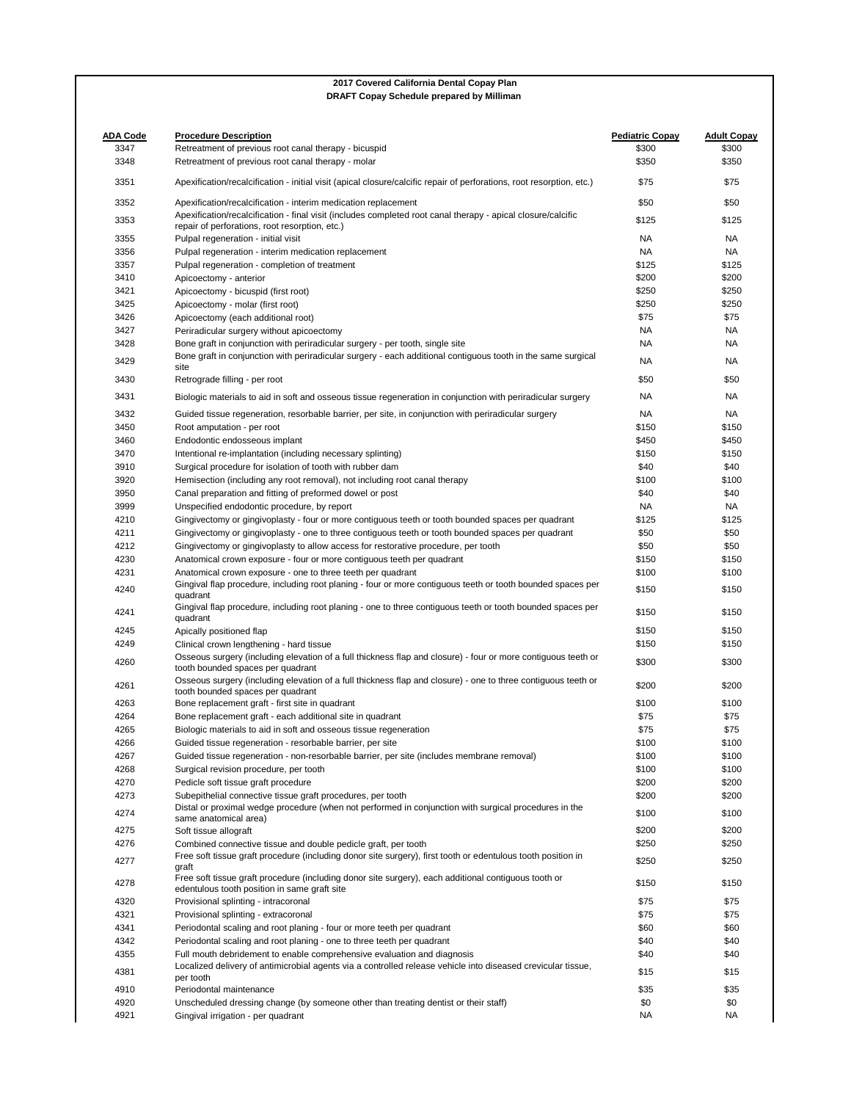| <b>ADA Code</b> | <b>Procedure Description</b>                                                                                                                                                                  | <b>Pediatric Copay</b> | <b>Adult Copay</b> |
|-----------------|-----------------------------------------------------------------------------------------------------------------------------------------------------------------------------------------------|------------------------|--------------------|
| 3347            | Retreatment of previous root canal therapy - bicuspid                                                                                                                                         | \$300                  | \$300              |
| 3348            | Retreatment of previous root canal therapy - molar                                                                                                                                            | \$350                  | \$350              |
| 3351            | Apexification/recalcification - initial visit (apical closure/calcific repair of perforations, root resorption, etc.)                                                                         | \$75                   | \$75               |
| 3352            | Apexification/recalcification - interim medication replacement                                                                                                                                | \$50                   | \$50               |
| 3353            | Apexification/recalcification - final visit (includes completed root canal therapy - apical closure/calcific<br>repair of perforations, root resorption, etc.)                                | \$125                  | \$125              |
| 3355            | Pulpal regeneration - initial visit                                                                                                                                                           | NA                     | NA                 |
| 3356            | Pulpal regeneration - interim medication replacement                                                                                                                                          | NA                     | NA                 |
| 3357            | Pulpal regeneration - completion of treatment                                                                                                                                                 | \$125                  | \$125              |
| 3410            | Apicoectomy - anterior                                                                                                                                                                        | \$200                  | \$200              |
| 3421            | Apicoectomy - bicuspid (first root)                                                                                                                                                           | \$250                  | \$250              |
| 3425            |                                                                                                                                                                                               | \$250                  | \$250              |
|                 | Apicoectomy - molar (first root)                                                                                                                                                              |                        |                    |
| 3426            | Apicoectomy (each additional root)                                                                                                                                                            | \$75                   | \$75               |
| 3427            | Periradicular surgery without apicoectomy                                                                                                                                                     | NA                     | NA                 |
| 3428<br>3429    | Bone graft in conjunction with periradicular surgery - per tooth, single site<br>Bone graft in conjunction with periradicular surgery - each additional contiguous tooth in the same surgical | NA<br>NA               | NA<br>NA           |
| 3430            | site<br>Retrograde filling - per root                                                                                                                                                         | \$50                   | \$50               |
| 3431            | Biologic materials to aid in soft and osseous tissue regeneration in conjunction with periradicular surgery                                                                                   | NA                     | NA                 |
| 3432            | Guided tissue regeneration, resorbable barrier, per site, in conjunction with periradicular surgery                                                                                           | NA                     | NA                 |
| 3450            | Root amputation - per root                                                                                                                                                                    | \$150                  | \$150              |
| 3460            | Endodontic endosseous implant                                                                                                                                                                 | \$450                  | \$450              |
| 3470            | Intentional re-implantation (including necessary splinting)                                                                                                                                   | \$150                  | \$150              |
| 3910            | Surgical procedure for isolation of tooth with rubber dam                                                                                                                                     | \$40                   | \$40               |
| 3920            | Hemisection (including any root removal), not including root canal therapy                                                                                                                    | \$100                  | \$100              |
| 3950            | Canal preparation and fitting of preformed dowel or post                                                                                                                                      | \$40                   | \$40               |
| 3999            | Unspecified endodontic procedure, by report                                                                                                                                                   | NA                     | NA                 |
| 4210            |                                                                                                                                                                                               |                        | \$125              |
|                 | Gingivectomy or gingivoplasty - four or more contiguous teeth or tooth bounded spaces per quadrant                                                                                            | \$125                  |                    |
| 4211            | Gingivectomy or gingivoplasty - one to three contiguous teeth or tooth bounded spaces per quadrant                                                                                            | \$50                   | \$50               |
| 4212            | Gingivectomy or gingivoplasty to allow access for restorative procedure, per tooth                                                                                                            | \$50                   | \$50               |
| 4230            | Anatomical crown exposure - four or more contiguous teeth per quadrant                                                                                                                        | \$150                  | \$150              |
| 4231            | Anatomical crown exposure - one to three teeth per quadrant                                                                                                                                   | \$100                  | \$100              |
| 4240            | Gingival flap procedure, including root planing - four or more contiguous teeth or tooth bounded spaces per<br>quadrant                                                                       | \$150                  | \$150              |
| 4241            | Gingival flap procedure, including root planing - one to three contiguous teeth or tooth bounded spaces per<br>quadrant                                                                       | \$150                  | \$150              |
| 4245            | Apically positioned flap                                                                                                                                                                      | \$150                  | \$150              |
| 4249            | Clinical crown lengthening - hard tissue                                                                                                                                                      | \$150                  | \$150              |
| 4260            | Osseous surgery (including elevation of a full thickness flap and closure) - four or more contiguous teeth or<br>tooth bounded spaces per quadrant                                            | \$300                  | \$300              |
| 4261            | Osseous surgery (including elevation of a full thickness flap and closure) - one to three contiguous teeth or                                                                                 | \$200                  | \$200              |
|                 | tooth bounded spaces per quadrant                                                                                                                                                             |                        |                    |
| 4263            | Bone replacement graft - first site in quadrant                                                                                                                                               | \$100                  | \$100              |
| 4264            | Bone replacement graft - each additional site in quadrant                                                                                                                                     | \$75                   | \$75               |
| 4265            | Biologic materials to aid in soft and osseous tissue regeneration                                                                                                                             | \$75                   | \$75               |
| 4266            | Guided tissue regeneration - resorbable barrier, per site                                                                                                                                     | \$100                  | \$100              |
| 4267            | Guided tissue regeneration - non-resorbable barrier, per site (includes membrane removal)                                                                                                     | \$100                  | \$100              |
| 4268            | Surgical revision procedure, per tooth                                                                                                                                                        | \$100                  | \$100              |
| 4270            | Pedicle soft tissue graft procedure                                                                                                                                                           | \$200                  | \$200              |
| 4273            | Subepithelial connective tissue graft procedures, per tooth<br>Distal or proximal wedge procedure (when not performed in conjunction with surgical procedures in the                          | \$200                  | \$200              |
| 4274            | same anatomical area)                                                                                                                                                                         | \$100                  | \$100              |
| 4275            | Soft tissue allograft                                                                                                                                                                         | \$200                  | \$200              |
| 4276            | Combined connective tissue and double pedicle graft, per tooth<br>Free soft tissue graft procedure (including donor site surgery), first tooth or edentulous tooth position in                | \$250                  | \$250              |
| 4277            | graft                                                                                                                                                                                         | \$250                  | \$250              |
| 4278            | Free soft tissue graft procedure (including donor site surgery), each additional contiguous tooth or<br>edentulous tooth position in same graft site                                          | \$150                  | \$150              |
| 4320            | Provisional splinting - intracoronal                                                                                                                                                          | \$75                   | \$75               |
| 4321            | Provisional splinting - extracoronal                                                                                                                                                          | \$75                   | \$75               |
| 4341            | Periodontal scaling and root planing - four or more teeth per quadrant                                                                                                                        | \$60                   | \$60               |
| 4342            | Periodontal scaling and root planing - one to three teeth per quadrant                                                                                                                        | \$40                   | \$40               |
| 4355            | Full mouth debridement to enable comprehensive evaluation and diagnosis                                                                                                                       | \$40                   | \$40               |
| 4381            | Localized delivery of antimicrobial agents via a controlled release vehicle into diseased crevicular tissue,<br>per tooth                                                                     | \$15                   | \$15               |
| 4910            | Periodontal maintenance                                                                                                                                                                       | \$35                   | \$35               |
| 4920            | Unscheduled dressing change (by someone other than treating dentist or their staff)                                                                                                           | \$0                    | \$0                |
| 4921            | Gingival irrigation - per quadrant                                                                                                                                                            | ΝA                     | NA                 |
|                 |                                                                                                                                                                                               |                        |                    |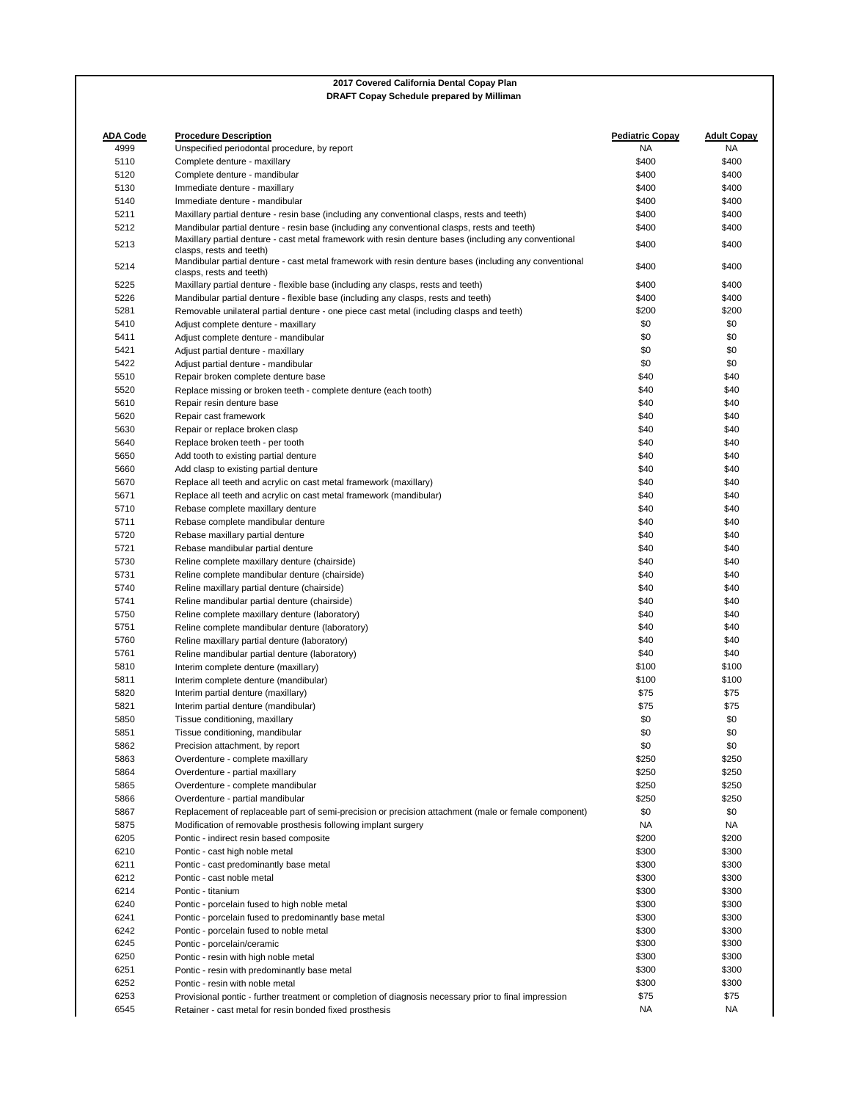| <b>ADA Code</b><br>4999 | <b>Procedure Description</b><br>Unspecified periodontal procedure, by report                                                       | Pediatric Copay<br><b>NA</b> | <b>Adult Copay</b><br>NA |
|-------------------------|------------------------------------------------------------------------------------------------------------------------------------|------------------------------|--------------------------|
| 5110                    | Complete denture - maxillary                                                                                                       | \$400                        | \$400                    |
| 5120                    | Complete denture - mandibular                                                                                                      | \$400                        | \$400                    |
| 5130                    | Immediate denture - maxillary                                                                                                      | \$400                        | \$400                    |
|                         |                                                                                                                                    |                              |                          |
| 5140                    | Immediate denture - mandibular                                                                                                     | \$400                        | \$400                    |
| 5211                    | Maxillary partial denture - resin base (including any conventional clasps, rests and teeth)                                        | \$400                        | \$400                    |
| 5212                    | Mandibular partial denture - resin base (including any conventional clasps, rests and teeth)                                       | \$400                        | \$400                    |
| 5213                    | Maxillary partial denture - cast metal framework with resin denture bases (including any conventional<br>clasps, rests and teeth)  | \$400                        | \$400                    |
| 5214                    | Mandibular partial denture - cast metal framework with resin denture bases (including any conventional<br>clasps, rests and teeth) | \$400                        | \$400                    |
| 5225                    | Maxillary partial denture - flexible base (including any clasps, rests and teeth)                                                  | \$400                        | \$400                    |
| 5226                    | Mandibular partial denture - flexible base (including any clasps, rests and teeth)                                                 | \$400                        | \$400                    |
| 5281                    | Removable unilateral partial denture - one piece cast metal (including clasps and teeth)                                           | \$200                        | \$200                    |
| 5410                    | Adjust complete denture - maxillary                                                                                                | \$0                          | \$0                      |
| 5411                    | Adjust complete denture - mandibular                                                                                               | \$0                          | \$0                      |
| 5421                    | Adjust partial denture - maxillary                                                                                                 | \$0                          | \$0                      |
| 5422                    | Adjust partial denture - mandibular                                                                                                | \$0                          | \$0                      |
| 5510                    | Repair broken complete denture base                                                                                                | \$40                         | \$40                     |
| 5520                    | Replace missing or broken teeth - complete denture (each tooth)                                                                    | \$40                         | \$40                     |
| 5610                    | Repair resin denture base                                                                                                          | \$40                         | \$40                     |
| 5620                    | Repair cast framework                                                                                                              | \$40                         | \$40                     |
| 5630                    | Repair or replace broken clasp                                                                                                     | \$40                         | \$40                     |
| 5640                    | Replace broken teeth - per tooth                                                                                                   | \$40                         | \$40                     |
| 5650                    | Add tooth to existing partial denture                                                                                              | \$40                         | \$40                     |
|                         |                                                                                                                                    |                              |                          |
| 5660                    | Add clasp to existing partial denture                                                                                              | \$40                         | \$40                     |
| 5670                    | Replace all teeth and acrylic on cast metal framework (maxillary)                                                                  | \$40                         | \$40                     |
| 5671                    | Replace all teeth and acrylic on cast metal framework (mandibular)                                                                 | \$40                         | \$40                     |
| 5710                    | Rebase complete maxillary denture                                                                                                  | \$40                         | \$40                     |
| 5711                    | Rebase complete mandibular denture                                                                                                 | \$40                         | \$40                     |
| 5720                    | Rebase maxillary partial denture                                                                                                   | \$40                         | \$40                     |
| 5721                    | Rebase mandibular partial denture                                                                                                  | \$40                         | \$40                     |
| 5730                    | Reline complete maxillary denture (chairside)                                                                                      | \$40                         | \$40                     |
| 5731                    | Reline complete mandibular denture (chairside)                                                                                     | \$40                         | \$40                     |
| 5740                    | Reline maxillary partial denture (chairside)                                                                                       | \$40                         | \$40                     |
| 5741                    | Reline mandibular partial denture (chairside)                                                                                      | \$40                         | \$40                     |
| 5750                    | Reline complete maxillary denture (laboratory)                                                                                     | \$40                         | \$40                     |
| 5751                    | Reline complete mandibular denture (laboratory)                                                                                    | \$40                         | \$40                     |
| 5760                    | Reline maxillary partial denture (laboratory)                                                                                      | \$40                         | \$40                     |
| 5761                    | Reline mandibular partial denture (laboratory)                                                                                     | \$40                         | \$40                     |
| 5810                    | Interim complete denture (maxillary)                                                                                               | \$100                        | \$100                    |
|                         |                                                                                                                                    |                              |                          |
| 5811                    | Interim complete denture (mandibular)                                                                                              | \$100                        | \$100                    |
| 5820                    | Interim partial denture (maxillary)                                                                                                | \$75                         | \$75                     |
| 5821                    | Interim partial denture (mandibular)                                                                                               | \$75                         | \$75                     |
| 5850                    | Tissue conditioning, maxillary                                                                                                     | \$0                          | \$0                      |
| 5851                    | Tissue conditioning, mandibular                                                                                                    | \$0                          | \$0                      |
| 5862                    | Precision attachment, by report                                                                                                    | \$0                          | \$0                      |
| 5863                    | Overdenture - complete maxillary                                                                                                   | \$250                        | \$250                    |
| 5864                    | Overdenture - partial maxillary                                                                                                    | \$250                        | \$250                    |
| 5865                    | Overdenture - complete mandibular                                                                                                  | \$250                        | \$250                    |
| 5866                    | Overdenture - partial mandibular                                                                                                   | \$250                        | \$250                    |
| 5867                    | Replacement of replaceable part of semi-precision or precision attachment (male or female component)                               | \$0                          | \$0                      |
| 5875                    | Modification of removable prosthesis following implant surgery                                                                     | NA.                          | NA                       |
| 6205                    | Pontic - indirect resin based composite                                                                                            | \$200                        | \$200                    |
| 6210                    | Pontic - cast high noble metal                                                                                                     | \$300                        | \$300                    |
| 6211                    | Pontic - cast predominantly base metal                                                                                             | \$300                        | \$300                    |
| 6212                    |                                                                                                                                    |                              |                          |
|                         | Pontic - cast noble metal                                                                                                          | \$300                        | \$300                    |
| 6214                    | Pontic - titanium                                                                                                                  | \$300                        | \$300                    |
| 6240                    | Pontic - porcelain fused to high noble metal                                                                                       | \$300                        | \$300                    |
| 6241                    | Pontic - porcelain fused to predominantly base metal                                                                               | \$300                        | \$300                    |
| 6242                    | Pontic - porcelain fused to noble metal                                                                                            | \$300                        | \$300                    |
| 6245                    | Pontic - porcelain/ceramic                                                                                                         | \$300                        | \$300                    |
| 6250                    | Pontic - resin with high noble metal                                                                                               | \$300                        | \$300                    |
| 6251                    |                                                                                                                                    |                              |                          |
|                         | Pontic - resin with predominantly base metal                                                                                       | \$300                        | \$300                    |
| 6252                    | Pontic - resin with noble metal                                                                                                    | \$300                        | \$300                    |
| 6253                    | Provisional pontic - further treatment or completion of diagnosis necessary prior to final impression                              | \$75                         | \$75                     |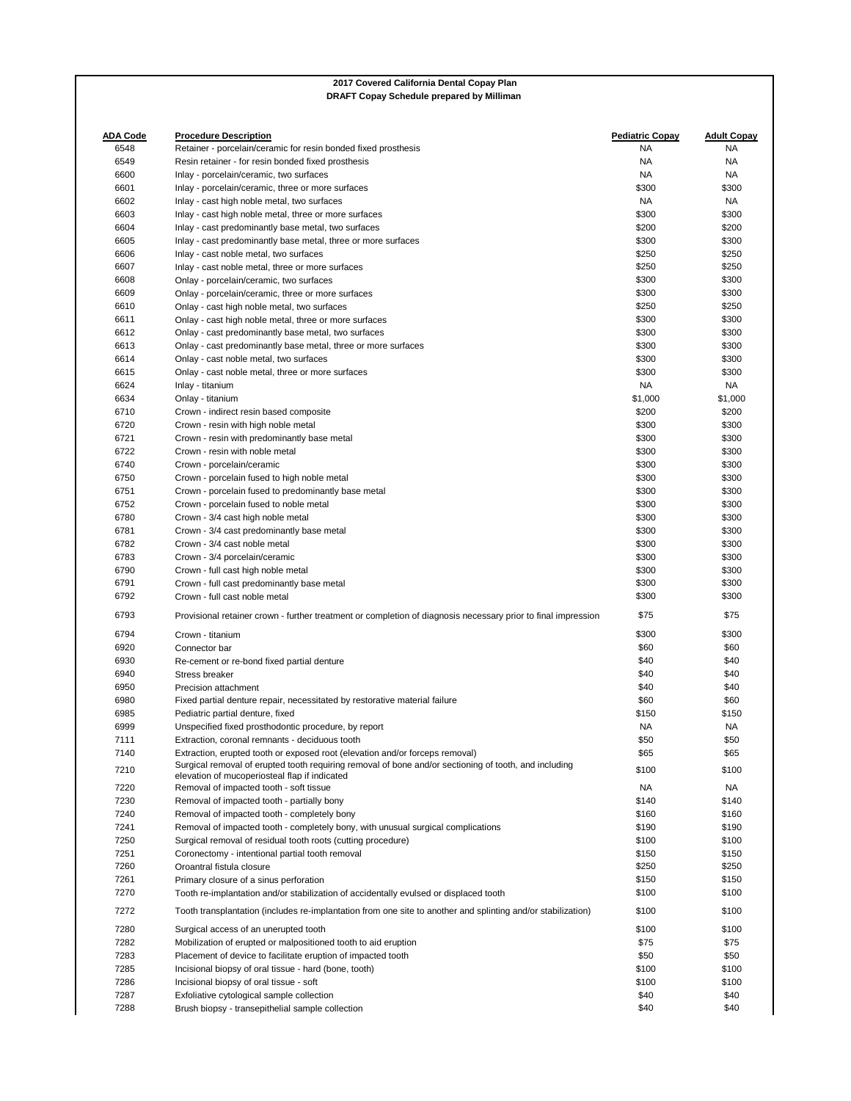|                 | <b>DRAFT Copay Schedule prepared by Milliman</b>                                                                                                       |                        |                    |
|-----------------|--------------------------------------------------------------------------------------------------------------------------------------------------------|------------------------|--------------------|
|                 |                                                                                                                                                        |                        |                    |
| <b>ADA Code</b> | <b>Procedure Description</b>                                                                                                                           | <b>Pediatric Copay</b> | <b>Adult Copay</b> |
| 6548            | Retainer - porcelain/ceramic for resin bonded fixed prosthesis                                                                                         | NA.                    | NA                 |
| 6549            | Resin retainer - for resin bonded fixed prosthesis                                                                                                     | <b>NA</b>              | NA                 |
| 6600            | Inlay - porcelain/ceramic, two surfaces                                                                                                                | NA                     | NA                 |
| 6601            | Inlay - porcelain/ceramic, three or more surfaces                                                                                                      | \$300                  | \$300              |
| 6602            | Inlay - cast high noble metal, two surfaces                                                                                                            | <b>NA</b>              | NA                 |
| 6603            | Inlay - cast high noble metal, three or more surfaces                                                                                                  | \$300                  | \$300              |
| 6604            | Inlay - cast predominantly base metal, two surfaces                                                                                                    | \$200                  | \$200              |
| 6605            | Inlay - cast predominantly base metal, three or more surfaces                                                                                          | \$300                  | \$300              |
| 6606            | Inlay - cast noble metal, two surfaces                                                                                                                 | \$250                  | \$250              |
| 6607            | Inlay - cast noble metal, three or more surfaces                                                                                                       | \$250                  | \$250              |
| 6608            | Onlay - porcelain/ceramic, two surfaces                                                                                                                | \$300                  | \$300              |
| 6609            | Onlay - porcelain/ceramic, three or more surfaces                                                                                                      | \$300                  | \$300              |
| 6610            | Onlay - cast high noble metal, two surfaces                                                                                                            | \$250                  | \$250              |
| 6611            | Onlay - cast high noble metal, three or more surfaces                                                                                                  | \$300                  | \$300              |
| 6612            | Onlay - cast predominantly base metal, two surfaces                                                                                                    | \$300                  | \$300              |
| 6613            | Onlay - cast predominantly base metal, three or more surfaces                                                                                          | \$300                  | \$300              |
| 6614            | Onlay - cast noble metal, two surfaces                                                                                                                 | \$300                  | \$300              |
| 6615            | Onlay - cast noble metal, three or more surfaces                                                                                                       | \$300                  | \$300              |
| 6624            | Inlay - titanium                                                                                                                                       | NA                     | NA                 |
| 6634            | Onlay - titanium                                                                                                                                       | \$1,000                | \$1,000            |
| 6710            |                                                                                                                                                        | \$200                  | \$200              |
|                 | Crown - indirect resin based composite                                                                                                                 |                        |                    |
| 6720            | Crown - resin with high noble metal                                                                                                                    | \$300                  | \$300              |
| 6721            | Crown - resin with predominantly base metal                                                                                                            | \$300                  | \$300              |
| 6722            | Crown - resin with noble metal                                                                                                                         | \$300                  | \$300              |
| 6740            | Crown - porcelain/ceramic                                                                                                                              | \$300                  | \$300              |
| 6750            | Crown - porcelain fused to high noble metal                                                                                                            | \$300                  | \$300              |
| 6751            | Crown - porcelain fused to predominantly base metal                                                                                                    | \$300                  | \$300              |
| 6752            | Crown - porcelain fused to noble metal                                                                                                                 | \$300                  | \$300              |
| 6780            | Crown - 3/4 cast high noble metal                                                                                                                      | \$300                  | \$300              |
| 6781            | Crown - 3/4 cast predominantly base metal                                                                                                              | \$300                  | \$300              |
| 6782            | Crown - 3/4 cast noble metal                                                                                                                           | \$300                  | \$300              |
| 6783            | Crown - 3/4 porcelain/ceramic                                                                                                                          | \$300                  | \$300              |
| 6790            | Crown - full cast high noble metal                                                                                                                     | \$300                  | \$300              |
| 6791            | Crown - full cast predominantly base metal                                                                                                             | \$300                  | \$300              |
| 6792            | Crown - full cast noble metal                                                                                                                          | \$300                  | \$300              |
| 6793            | Provisional retainer crown - further treatment or completion of diagnosis necessary prior to final impression                                          | \$75                   | \$75               |
| 6794            | Crown - titanium                                                                                                                                       | \$300                  | \$300              |
| 6920            | Connector bar                                                                                                                                          | \$60                   | \$60               |
| 6930            | Re-cement or re-bond fixed partial denture                                                                                                             | \$40                   | \$40               |
| 6940            | <b>Stress breaker</b>                                                                                                                                  | \$40                   | \$40               |
| 6950            | Precision attachment                                                                                                                                   | \$40                   | \$40               |
| 6980            | Fixed partial denture repair, necessitated by restorative material failure                                                                             | \$60                   | \$60               |
| 6985            | Pediatric partial denture, fixed                                                                                                                       | \$150                  | \$150              |
| 6999            | Unspecified fixed prosthodontic procedure, by report                                                                                                   | <b>NA</b>              | NA                 |
| 7111            | Extraction, coronal remnants - deciduous tooth                                                                                                         | \$50                   | \$50               |
| 7140            | Extraction, erupted tooth or exposed root (elevation and/or forceps removal)                                                                           | \$65                   | \$65               |
| 7210            | Surgical removal of erupted tooth requiring removal of bone and/or sectioning of tooth, and including<br>elevation of mucoperiosteal flap if indicated | \$100                  | \$100              |
| 7220            | Removal of impacted tooth - soft tissue                                                                                                                | <b>NA</b>              | NA                 |
| 7230            | Removal of impacted tooth - partially bony                                                                                                             | \$140                  | \$140              |
| 7240            | Removal of impacted tooth - completely bony                                                                                                            | \$160                  | \$160              |
| 7241            | Removal of impacted tooth - completely bony, with unusual surgical complications                                                                       | \$190                  | \$190              |
| 7250            | Surgical removal of residual tooth roots (cutting procedure)                                                                                           | \$100                  | \$100              |
| 7251            | Coronectomy - intentional partial tooth removal                                                                                                        | \$150                  | \$150              |
| 7260            | Oroantral fistula closure                                                                                                                              | \$250                  | \$250              |
| 7261            | Primary closure of a sinus perforation                                                                                                                 | \$150                  | \$150              |
| 7270            | Tooth re-implantation and/or stabilization of accidentally evulsed or displaced tooth                                                                  | \$100                  | \$100              |
| 7272            | Tooth transplantation (includes re-implantation from one site to another and splinting and/or stabilization)                                           | \$100                  | \$100              |
| 7280            | Surgical access of an unerupted tooth                                                                                                                  | \$100                  | \$100              |
| 7282            | Mobilization of erupted or malpositioned tooth to aid eruption                                                                                         | \$75                   | \$75               |
| 7283            | Placement of device to facilitate eruption of impacted tooth                                                                                           | \$50                   | \$50               |
| 7285            | Incisional biopsy of oral tissue - hard (bone, tooth)                                                                                                  | \$100                  | \$100              |
| 7286            | Incisional biopsy of oral tissue - soft                                                                                                                | \$100                  | \$100              |
| 7287            | Exfoliative cytological sample collection                                                                                                              | \$40                   | \$40               |
| 7288            | Brush biopsy - transepithelial sample collection                                                                                                       | \$40                   | \$40               |

**2017 Covered California Dental Copay Plan**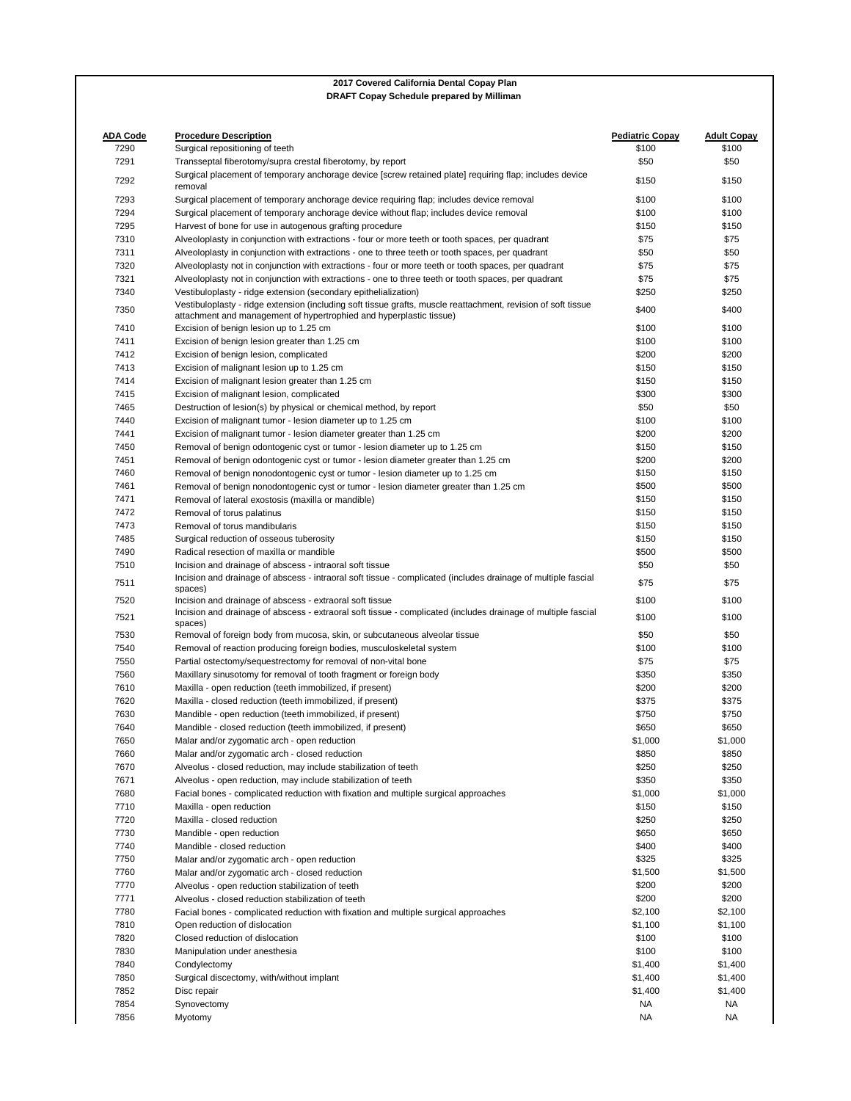| <b>ADA Code</b><br>7290 | <b>Procedure Description</b><br>Surgical repositioning of teeth                                                                                                                      | <b>Pediatric Copay</b><br>\$100 | <b>Adult Copay</b><br>\$100 |
|-------------------------|--------------------------------------------------------------------------------------------------------------------------------------------------------------------------------------|---------------------------------|-----------------------------|
| 7291                    | Transseptal fiberotomy/supra crestal fiberotomy, by report                                                                                                                           | \$50                            | \$50                        |
| 7292                    | Surgical placement of temporary anchorage device [screw retained plate] requiring flap; includes device<br>removal                                                                   | \$150                           | \$150                       |
| 7293                    | Surgical placement of temporary anchorage device requiring flap; includes device removal                                                                                             | \$100                           | \$100                       |
| 7294                    | Surgical placement of temporary anchorage device without flap; includes device removal                                                                                               | \$100                           | \$100                       |
| 7295                    | Harvest of bone for use in autogenous grafting procedure                                                                                                                             | \$150                           | \$150                       |
| 7310                    | Alveoloplasty in conjunction with extractions - four or more teeth or tooth spaces, per quadrant                                                                                     | \$75                            | \$75                        |
| 7311                    | Alveoloplasty in conjunction with extractions - one to three teeth or tooth spaces, per quadrant                                                                                     | \$50                            | \$50                        |
| 7320                    | Alveoloplasty not in conjunction with extractions - four or more teeth or tooth spaces, per quadrant                                                                                 | \$75                            | \$75                        |
| 7321                    | Alveoloplasty not in conjunction with extractions - one to three teeth or tooth spaces, per quadrant                                                                                 | \$75                            | \$75                        |
| 7340                    | Vestibuloplasty - ridge extension (secondary epithelialization)                                                                                                                      | \$250                           | \$250                       |
| 7350                    | Vestibuloplasty - ridge extension (including soft tissue grafts, muscle reattachment, revision of soft tissue<br>attachment and management of hypertrophied and hyperplastic tissue) | \$400                           | \$400                       |
| 7410                    | Excision of benign lesion up to 1.25 cm                                                                                                                                              | \$100                           | \$100                       |
| 7411                    | Excision of benign lesion greater than 1.25 cm                                                                                                                                       | \$100                           | \$100                       |
| 7412                    | Excision of benign lesion, complicated                                                                                                                                               | \$200                           | \$200                       |
| 7413                    | Excision of malignant lesion up to 1.25 cm                                                                                                                                           | \$150                           | \$150                       |
| 7414                    | Excision of malignant lesion greater than 1.25 cm                                                                                                                                    | \$150                           | \$150                       |
| 7415                    | Excision of malignant lesion, complicated                                                                                                                                            | \$300                           | \$300                       |
| 7465                    | Destruction of lesion(s) by physical or chemical method, by report                                                                                                                   | \$50                            | \$50                        |
| 7440                    | Excision of malignant tumor - lesion diameter up to 1.25 cm                                                                                                                          | \$100                           | \$100                       |
| 7441                    | Excision of malignant tumor - lesion diameter greater than 1.25 cm                                                                                                                   | \$200                           | \$200                       |
| 7450                    | Removal of benign odontogenic cyst or tumor - lesion diameter up to 1.25 cm                                                                                                          | \$150                           | \$150                       |
| 7451                    |                                                                                                                                                                                      | \$200                           | \$200                       |
|                         | Removal of benign odontogenic cyst or tumor - lesion diameter greater than 1.25 cm                                                                                                   |                                 |                             |
| 7460                    | Removal of benign nonodontogenic cyst or tumor - lesion diameter up to 1.25 cm                                                                                                       | \$150                           | \$150                       |
| 7461                    | Removal of benign nonodontogenic cyst or tumor - lesion diameter greater than 1.25 cm                                                                                                | \$500                           | \$500                       |
| 7471                    | Removal of lateral exostosis (maxilla or mandible)                                                                                                                                   | \$150                           | \$150                       |
| 7472                    | Removal of torus palatinus                                                                                                                                                           | \$150                           | \$150                       |
| 7473                    | Removal of torus mandibularis                                                                                                                                                        | \$150                           | \$150                       |
| 7485                    | Surgical reduction of osseous tuberosity                                                                                                                                             | \$150                           | \$150                       |
| 7490                    | Radical resection of maxilla or mandible                                                                                                                                             | \$500                           | \$500                       |
| 7510                    | Incision and drainage of abscess - intraoral soft tissue                                                                                                                             | \$50                            | \$50                        |
| 7511                    | Incision and drainage of abscess - intraoral soft tissue - complicated (includes drainage of multiple fascial<br>spaces)                                                             | \$75                            | \$75                        |
| 7520                    | Incision and drainage of abscess - extraoral soft tissue                                                                                                                             | \$100                           | \$100                       |
| 7521                    | Incision and drainage of abscess - extraoral soft tissue - complicated (includes drainage of multiple fascial<br>spaces)                                                             | \$100                           | \$100                       |
| 7530                    | Removal of foreign body from mucosa, skin, or subcutaneous alveolar tissue                                                                                                           | \$50                            | \$50                        |
| 7540                    | Removal of reaction producing foreign bodies, musculoskeletal system                                                                                                                 | \$100                           | \$100                       |
| 7550                    | Partial ostectomy/sequestrectomy for removal of non-vital bone                                                                                                                       | \$75                            | \$75                        |
| 7560                    | Maxillary sinusotomy for removal of tooth fragment or foreign body                                                                                                                   | \$350                           | \$350                       |
| 7610                    | Maxilla - open reduction (teeth immobilized, if present)                                                                                                                             | \$200                           | \$200                       |
| 7620                    | Maxilla - closed reduction (teeth immobilized, if present)                                                                                                                           | \$375                           | \$375                       |
| 7630                    | Mandible - open reduction (teeth immobilized, if present)                                                                                                                            | \$750                           | \$750                       |
| 7640                    | Mandible - closed reduction (teeth immobilized, if present)                                                                                                                          | \$650                           | \$650                       |
| 7650                    | Malar and/or zygomatic arch - open reduction                                                                                                                                         | \$1,000                         | \$1,000                     |
| 7660                    | Malar and/or zygomatic arch - closed reduction                                                                                                                                       | \$850                           | \$850                       |
| 7670                    | Alveolus - closed reduction, may include stabilization of teeth                                                                                                                      | \$250                           | \$250                       |
| 7671                    | Alveolus - open reduction, may include stabilization of teeth                                                                                                                        | \$350                           | \$350                       |
| 7680                    | Facial bones - complicated reduction with fixation and multiple surgical approaches                                                                                                  | \$1,000                         | \$1,000                     |
| 7710                    | Maxilla - open reduction                                                                                                                                                             | \$150                           | \$150                       |
| 7720                    | Maxilla - closed reduction                                                                                                                                                           | \$250                           | \$250                       |
| 7730                    | Mandible - open reduction                                                                                                                                                            | \$650                           | \$650                       |
| 7740                    | Mandible - closed reduction                                                                                                                                                          | \$400                           | \$400                       |
| 7750                    | Malar and/or zygomatic arch - open reduction                                                                                                                                         | \$325                           | \$325                       |
| 7760                    | Malar and/or zygomatic arch - closed reduction                                                                                                                                       | \$1,500                         | \$1,500                     |
| 7770                    | Alveolus - open reduction stabilization of teeth                                                                                                                                     | \$200                           | \$200                       |
| 7771                    | Alveolus - closed reduction stabilization of teeth                                                                                                                                   | \$200                           | \$200                       |
| 7780                    | Facial bones - complicated reduction with fixation and multiple surgical approaches                                                                                                  | \$2,100                         | \$2,100                     |
| 7810                    | Open reduction of dislocation                                                                                                                                                        | \$1,100                         | \$1,100                     |
| 7820                    | Closed reduction of dislocation                                                                                                                                                      | \$100                           | \$100                       |
| 7830                    | Manipulation under anesthesia                                                                                                                                                        | \$100                           | \$100                       |
| 7840                    |                                                                                                                                                                                      |                                 |                             |
|                         | Condylectomy                                                                                                                                                                         | \$1,400                         | \$1,400                     |
| 7850                    | Surgical discectomy, with/without implant                                                                                                                                            | \$1,400                         | \$1,400                     |
| 7852                    | Disc repair                                                                                                                                                                          | \$1,400                         | \$1,400                     |
| 7854                    | Synovectomy                                                                                                                                                                          | NA                              | NA                          |
| 7856                    | Myotomy                                                                                                                                                                              | <b>NA</b>                       | <b>NA</b>                   |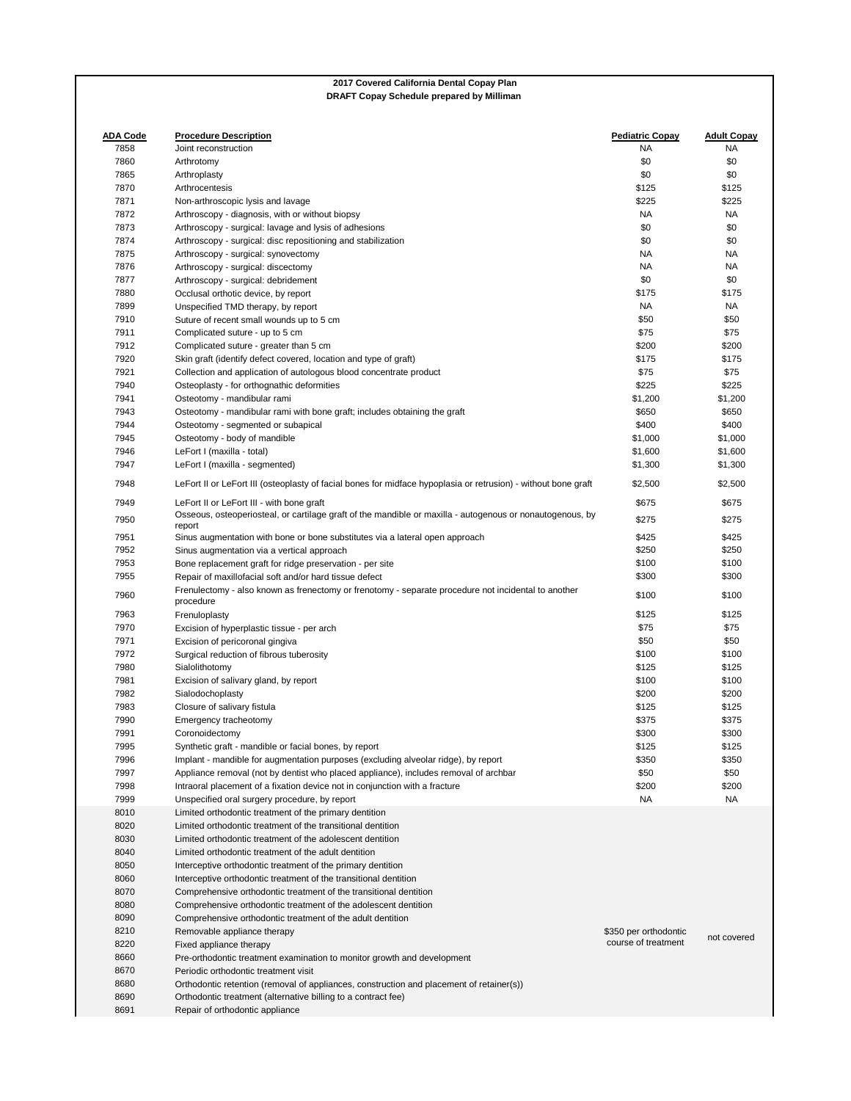|  | DRAFT Copay Schedule prepared by Milliman |  |  |
|--|-------------------------------------------|--|--|
|  |                                           |  |  |

| <b>ADA Code</b> | <b>Procedure Description</b>                                                                                                                                  | <b>Pediatric Copay</b> | <b>Adult Copay</b> |
|-----------------|---------------------------------------------------------------------------------------------------------------------------------------------------------------|------------------------|--------------------|
| 7858            | Joint reconstruction                                                                                                                                          | ΝA                     | NA                 |
| 7860            | Arthrotomy                                                                                                                                                    | \$0                    | \$0                |
| 7865            | Arthroplasty                                                                                                                                                  | \$0                    | \$0                |
| 7870            | Arthrocentesis                                                                                                                                                | \$125                  | \$125              |
| 7871            | Non-arthroscopic lysis and lavage                                                                                                                             | \$225                  | \$225              |
| 7872            | Arthroscopy - diagnosis, with or without biopsy                                                                                                               | NA.                    | NA                 |
| 7873            | Arthroscopy - surgical: lavage and lysis of adhesions                                                                                                         | \$0                    | \$0                |
| 7874            | Arthroscopy - surgical: disc repositioning and stabilization                                                                                                  | \$0                    | \$0                |
| 7875            | Arthroscopy - surgical: synovectomy                                                                                                                           | ΝA                     | NA                 |
| 7876            | Arthroscopy - surgical: discectomy                                                                                                                            | NA.                    | NA                 |
| 7877            | Arthroscopy - surgical: debridement                                                                                                                           | \$0                    | \$0                |
| 7880            | Occlusal orthotic device, by report                                                                                                                           | \$175                  | \$175              |
| 7899            | Unspecified TMD therapy, by report                                                                                                                            | NA.                    | NA                 |
| 7910            | Suture of recent small wounds up to 5 cm                                                                                                                      | \$50                   | \$50               |
| 7911            | Complicated suture - up to 5 cm                                                                                                                               | \$75                   | \$75               |
| 7912            | Complicated suture - greater than 5 cm                                                                                                                        | \$200                  | \$200              |
| 7920            | Skin graft (identify defect covered, location and type of graft)                                                                                              | \$175                  | \$175              |
| 7921            | Collection and application of autologous blood concentrate product                                                                                            | \$75                   | \$75               |
| 7940            | Osteoplasty - for orthognathic deformities                                                                                                                    | \$225                  | \$225              |
| 7941            | Osteotomy - mandibular rami                                                                                                                                   | \$1,200                | \$1,200            |
| 7943            | Osteotomy - mandibular rami with bone graft; includes obtaining the graft                                                                                     | \$650                  | \$650              |
| 7944            | Osteotomy - segmented or subapical                                                                                                                            | \$400                  | \$400              |
| 7945            | Osteotomy - body of mandible                                                                                                                                  | \$1,000                | \$1,000            |
| 7946            | LeFort I (maxilla - total)                                                                                                                                    | \$1,600                | \$1,600            |
| 7947            | LeFort I (maxilla - segmented)                                                                                                                                | \$1,300                | \$1,300            |
| 7948            | LeFort II or LeFort III (osteoplasty of facial bones for midface hypoplasia or retrusion) - without bone graft                                                | \$2,500                | \$2,500            |
| 7949            | LeFort II or LeFort III - with bone graft<br>Osseous, osteoperiosteal, or cartilage graft of the mandible or maxilla - autogenous or nonautogenous, by        | \$675                  | \$675              |
| 7950            | report                                                                                                                                                        | \$275                  | \$275              |
| 7951            | Sinus augmentation with bone or bone substitutes via a lateral open approach                                                                                  | \$425                  | \$425              |
| 7952            | Sinus augmentation via a vertical approach                                                                                                                    | \$250                  | \$250              |
| 7953            | Bone replacement graft for ridge preservation - per site                                                                                                      | \$100                  | \$100              |
| 7955            | Repair of maxillofacial soft and/or hard tissue defect<br>Frenulectomy - also known as frenectomy or frenotomy - separate procedure not incidental to another | \$300                  | \$300              |
| 7960            | procedure                                                                                                                                                     | \$100                  | \$100              |
| 7963            | Frenuloplasty                                                                                                                                                 | \$125                  | \$125              |
| 7970            | Excision of hyperplastic tissue - per arch                                                                                                                    | \$75                   | \$75               |
| 7971            | Excision of pericoronal gingiva                                                                                                                               | \$50                   | \$50               |
| 7972            | Surgical reduction of fibrous tuberosity                                                                                                                      | \$100                  | \$100              |
| 7980            | Sialolithotomy                                                                                                                                                | \$125                  | \$125              |
| 7981            | Excision of salivary gland, by report                                                                                                                         | \$100                  | \$100              |
| 7982            | Sialodochoplasty                                                                                                                                              | \$200                  | \$200              |
| 7983            | Closure of salivary fistula                                                                                                                                   | \$125                  | \$125              |
| 7990            | Emergency tracheotomy                                                                                                                                         | \$375                  | \$375              |
| 7991            | Coronoidectomy                                                                                                                                                | \$300                  | \$300              |
| 7995            | Synthetic graft - mandible or facial bones, by report                                                                                                         | \$125                  | \$125              |
| 7996            | Implant - mandible for augmentation purposes (excluding alveolar ridge), by report                                                                            | \$350                  | \$350              |
| 7997            | Appliance removal (not by dentist who placed appliance), includes removal of archbar                                                                          | \$50                   | \$50               |
| 7998            | Intraoral placement of a fixation device not in conjunction with a fracture                                                                                   | \$200                  | \$200              |
| 7999            | Unspecified oral surgery procedure, by report                                                                                                                 | NA                     | NA                 |
| 8010            | Limited orthodontic treatment of the primary dentition                                                                                                        |                        |                    |
| 8020            | Limited orthodontic treatment of the transitional dentition                                                                                                   |                        |                    |
| 8030            | Limited orthodontic treatment of the adolescent dentition                                                                                                     |                        |                    |
| 8040            | Limited orthodontic treatment of the adult dentition                                                                                                          |                        |                    |
| 8050            | Interceptive orthodontic treatment of the primary dentition                                                                                                   |                        |                    |
| 8060            | Interceptive orthodontic treatment of the transitional dentition                                                                                              |                        |                    |
| 8070            | Comprehensive orthodontic treatment of the transitional dentition                                                                                             |                        |                    |
| 8080            | Comprehensive orthodontic treatment of the adolescent dentition                                                                                               |                        |                    |
| 8090            | Comprehensive orthodontic treatment of the adult dentition                                                                                                    |                        |                    |
| 8210            | Removable appliance therapy                                                                                                                                   | \$350 per orthodontic  | not covered        |
| 8220            | Fixed appliance therapy                                                                                                                                       | course of treatment    |                    |
| 8660            | Pre-orthodontic treatment examination to monitor growth and development                                                                                       |                        |                    |
| 8670            | Periodic orthodontic treatment visit                                                                                                                          |                        |                    |
| 8680            | Orthodontic retention (removal of appliances, construction and placement of retainer(s))                                                                      |                        |                    |
| 8690            | Orthodontic treatment (alternative billing to a contract fee)                                                                                                 |                        |                    |
| 8691            | Repair of orthodontic appliance                                                                                                                               |                        |                    |